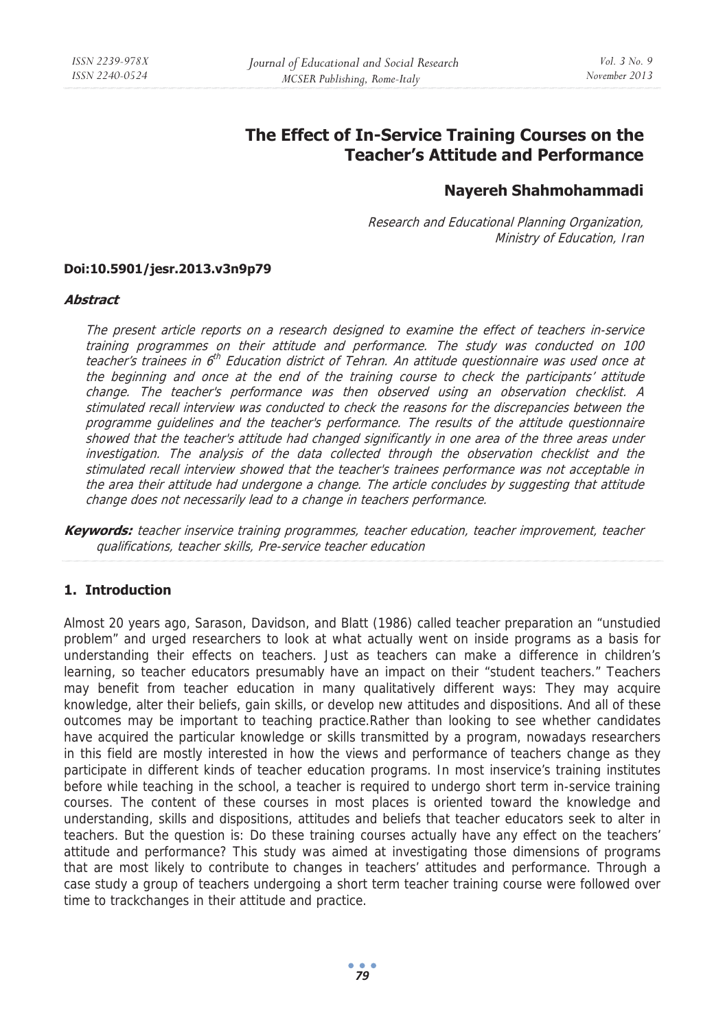# **The Effect of In-Service Training Courses on the Teacher's Attitude and Performance**

## **Nayereh Shahmohammadi**

Research and Educational Planning Organization, Ministry of Education, Iran

#### **Doi:10.5901/jesr.2013.v3n9p79**

#### **Abstract**

The present article reports on a research designed to examine the effect of teachers in-service training programmes on their attitude and performance. The study was conducted on 100 teacher's trainees in 6<sup>th</sup> Education district of Tehran. An attitude questionnaire was used once at the beginning and once at the end of the training course to check the participants' attitude change. The teacher's performance was then observed using an observation checklist. A stimulated recall interview was conducted to check the reasons for the discrepancies between the programme guidelines and the teacher's performance. The results of the attitude questionnaire showed that the teacher's attitude had changed significantly in one area of the three areas under investigation. The analysis of the data collected through the observation checklist and the stimulated recall interview showed that the teacher's trainees performance was not acceptable in the area their attitude had undergone a change. The article concludes by suggesting that attitude change does not necessarily lead to a change in teachers performance.

**Keywords:** teacher inservice training programmes, teacher education, teacher improvement, teacher qualifications, teacher skills, Pre-service teacher education

### **1. Introduction**

Almost 20 years ago, Sarason, Davidson, and Blatt (1986) called teacher preparation an "unstudied problem" and urged researchers to look at what actually went on inside programs as a basis for understanding their effects on teachers. Just as teachers can make a difference in children's learning, so teacher educators presumably have an impact on their "student teachers." Teachers may benefit from teacher education in many qualitatively different ways: They may acquire knowledge, alter their beliefs, gain skills, or develop new attitudes and dispositions. And all of these outcomes may be important to teaching practice.Rather than looking to see whether candidates have acquired the particular knowledge or skills transmitted by a program, nowadays researchers in this field are mostly interested in how the views and performance of teachers change as they participate in different kinds of teacher education programs. In most inservice's training institutes before while teaching in the school, a teacher is required to undergo short term in-service training courses. The content of these courses in most places is oriented toward the knowledge and understanding, skills and dispositions, attitudes and beliefs that teacher educators seek to alter in teachers. But the question is: Do these training courses actually have any effect on the teachers' attitude and performance? This study was aimed at investigating those dimensions of programs that are most likely to contribute to changes in teachers' attitudes and performance. Through a case study a group of teachers undergoing a short term teacher training course were followed over time to trackchanges in their attitude and practice.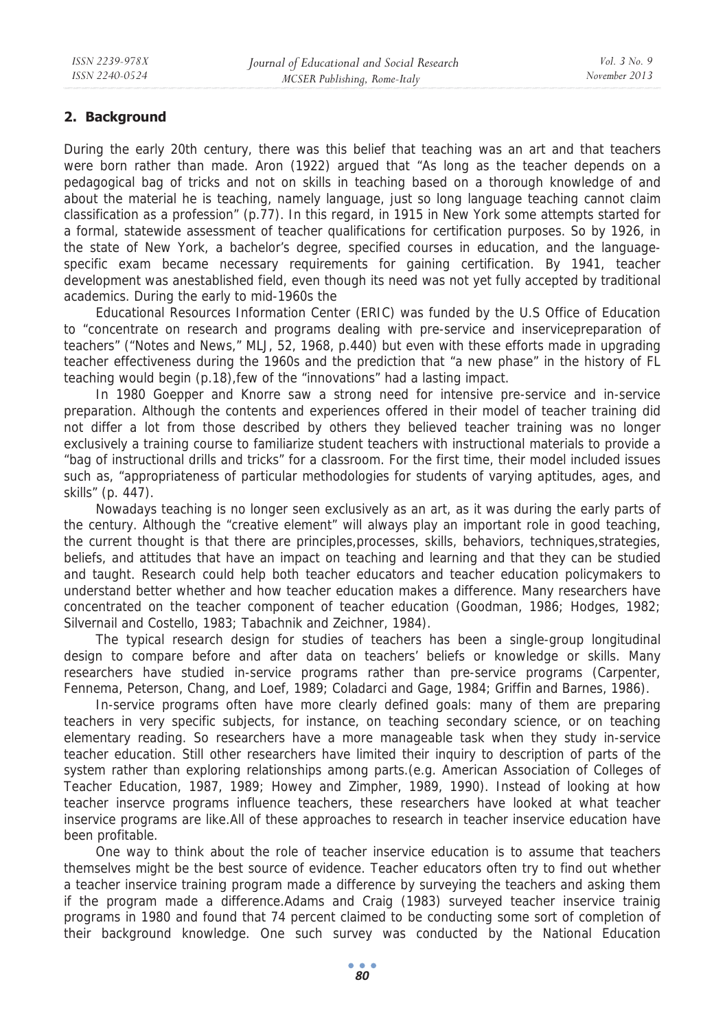## **2. Background**

During the early 20th century, there was this belief that teaching was an art and that teachers were born rather than made. Aron (1922) argued that "As long as the teacher depends on a pedagogical bag of tricks and not on skills in teaching based on a thorough knowledge of and about the material he is teaching, namely language, just so long language teaching cannot claim classification as a profession" (p.77). In this regard, in 1915 in New York some attempts started for a formal, statewide assessment of teacher qualifications for certification purposes. So by 1926, in the state of New York, a bachelor's degree, specified courses in education, and the languagespecific exam became necessary requirements for gaining certification. By 1941, teacher development was anestablished field, even though its need was not yet fully accepted by traditional academics. During the early to mid-1960s the

Educational Resources Information Center (ERIC) was funded by the U.S Office of Education to "concentrate on research and programs dealing with pre-service and inservicepreparation of teachers" ("Notes and News," MLJ, 52, 1968, p.440) but even with these efforts made in upgrading teacher effectiveness during the 1960s and the prediction that "a new phase" in the history of FL teaching would begin (p.18),few of the "innovations" had a lasting impact.

In 1980 Goepper and Knorre saw a strong need for intensive pre-service and in-service preparation. Although the contents and experiences offered in their model of teacher training did not differ a lot from those described by others they believed teacher training was no longer exclusively a training course to familiarize student teachers with instructional materials to provide a "bag of instructional drills and tricks" for a classroom. For the first time, their model included issues such as, "appropriateness of particular methodologies for students of varying aptitudes, ages, and skills" (p. 447).

Nowadays teaching is no longer seen exclusively as an art, as it was during the early parts of the century. Although the "creative element" will always play an important role in good teaching, the current thought is that there are principles,processes, skills, behaviors, techniques,strategies, beliefs, and attitudes that have an impact on teaching and learning and that they can be studied and taught. Research could help both teacher educators and teacher education policymakers to understand better whether and how teacher education makes a difference. Many researchers have concentrated on the teacher component of teacher education (Goodman, 1986; Hodges, 1982; Silvernail and Costello, 1983; Tabachnik and Zeichner, 1984).

The typical research design for studies of teachers has been a single-group longitudinal design to compare before and after data on teachers' beliefs or knowledge or skills. Many researchers have studied in-service programs rather than pre-service programs (Carpenter, Fennema, Peterson, Chang, and Loef, 1989; Coladarci and Gage, 1984; Griffin and Barnes, 1986).

In-service programs often have more clearly defined goals: many of them are preparing teachers in very specific subjects, for instance, on teaching secondary science, or on teaching elementary reading. So researchers have a more manageable task when they study in-service teacher education. Still other researchers have limited their inquiry to description of parts of the system rather than exploring relationships among parts.(e.g. American Association of Colleges of Teacher Education, 1987, 1989; Howey and Zimpher, 1989, 1990). Instead of looking at how teacher inservce programs influence teachers, these researchers have looked at what teacher inservice programs are like.All of these approaches to research in teacher inservice education have been profitable.

One way to think about the role of teacher inservice education is to assume that teachers themselves might be the best source of evidence. Teacher educators often try to find out whether a teacher inservice training program made a difference by surveying the teachers and asking them if the program made a difference.Adams and Craig (1983) surveyed teacher inservice trainig programs in 1980 and found that 74 percent claimed to be conducting some sort of completion of their background knowledge. One such survey was conducted by the National Education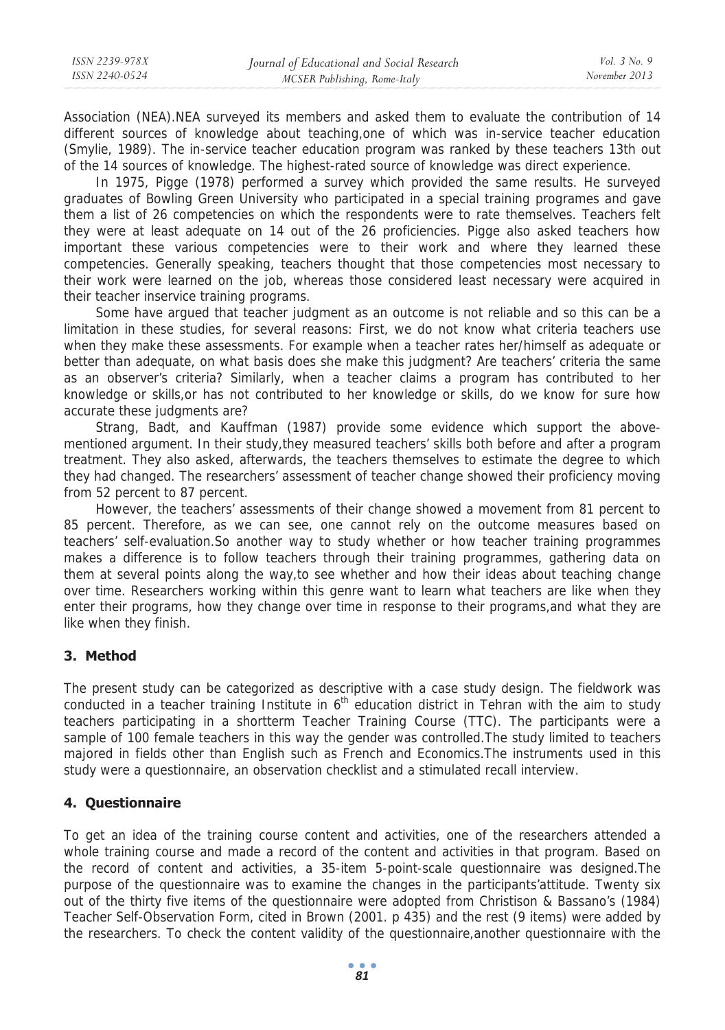Association (NEA).NEA surveyed its members and asked them to evaluate the contribution of 14 different sources of knowledge about teaching,one of which was in-service teacher education (Smylie, 1989). The in-service teacher education program was ranked by these teachers 13th out of the 14 sources of knowledge. The highest-rated source of knowledge was direct experience.

In 1975, Pigge (1978) performed a survey which provided the same results. He surveyed graduates of Bowling Green University who participated in a special training programes and gave them a list of 26 competencies on which the respondents were to rate themselves. Teachers felt they were at least adequate on 14 out of the 26 proficiencies. Pigge also asked teachers how important these various competencies were to their work and where they learned these competencies. Generally speaking, teachers thought that those competencies most necessary to their work were learned on the job, whereas those considered least necessary were acquired in their teacher inservice training programs.

Some have argued that teacher judgment as an outcome is not reliable and so this can be a limitation in these studies, for several reasons: First, we do not know what criteria teachers use when they make these assessments. For example when a teacher rates her/himself as adequate or better than adequate, on what basis does she make this judgment? Are teachers' criteria the same as an observer's criteria? Similarly, when a teacher claims a program has contributed to her knowledge or skills,or has not contributed to her knowledge or skills, do we know for sure how accurate these judgments are?

Strang, Badt, and Kauffman (1987) provide some evidence which support the abovementioned argument. In their study,they measured teachers' skills both before and after a program treatment. They also asked, afterwards, the teachers themselves to estimate the degree to which they had changed. The researchers' assessment of teacher change showed their proficiency moving from 52 percent to 87 percent.

However, the teachers' assessments of their change showed a movement from 81 percent to 85 percent. Therefore, as we can see, one cannot rely on the outcome measures based on teachers' self-evaluation.So another way to study whether or how teacher training programmes makes a difference is to follow teachers through their training programmes, gathering data on them at several points along the way,to see whether and how their ideas about teaching change over time. Researchers working within this genre want to learn what teachers are like when they enter their programs, how they change over time in response to their programs,and what they are like when they finish.

## **3. Method**

The present study can be categorized as descriptive with a case study design. The fieldwork was conducted in a teacher training Institute in  $6<sup>th</sup>$  education district in Tehran with the aim to study teachers participating in a shortterm Teacher Training Course (TTC). The participants were a sample of 100 female teachers in this way the gender was controlled.The study limited to teachers majored in fields other than English such as French and Economics.The instruments used in this study were a questionnaire, an observation checklist and a stimulated recall interview.

### **4. Questionnaire**

To get an idea of the training course content and activities, one of the researchers attended a whole training course and made a record of the content and activities in that program. Based on the record of content and activities, a 35-item 5-point-scale questionnaire was designed.The purpose of the questionnaire was to examine the changes in the participants'attitude. Twenty six out of the thirty five items of the questionnaire were adopted from Christison & Bassano's (1984) Teacher Self-Observation Form, cited in Brown (2001. p 435) and the rest (9 items) were added by the researchers. To check the content validity of the questionnaire,another questionnaire with the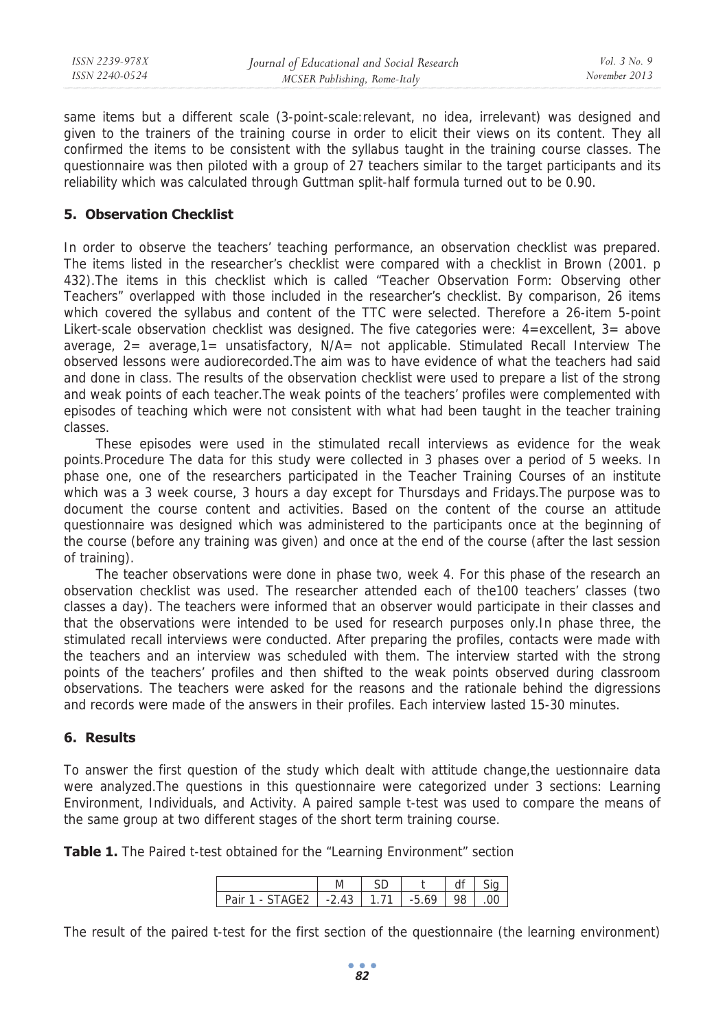| ISSN 2239-978X | Journal of Educational and Social Research | <i>Vol.</i> 3 No. 9 |
|----------------|--------------------------------------------|---------------------|
| ISSN 2240-0524 | MCSER Publishing, Rome-Italy               | November 2013       |
|                |                                            |                     |

same items but a different scale (3-point-scale:relevant, no idea, irrelevant) was designed and given to the trainers of the training course in order to elicit their views on its content. They all confirmed the items to be consistent with the syllabus taught in the training course classes. The questionnaire was then piloted with a group of 27 teachers similar to the target participants and its reliability which was calculated through Guttman split-half formula turned out to be 0.90.

#### **5. Observation Checklist**

In order to observe the teachers' teaching performance, an observation checklist was prepared. The items listed in the researcher's checklist were compared with a checklist in Brown (2001. p 432).The items in this checklist which is called "Teacher Observation Form: Observing other Teachers" overlapped with those included in the researcher's checklist. By comparison, 26 items which covered the syllabus and content of the TTC were selected. Therefore a 26-item 5-point Likert-scale observation checklist was designed. The five categories were: 4=excellent, 3= above average, 2= average,1= unsatisfactory, N/A= not applicable. Stimulated Recall Interview The observed lessons were audiorecorded.The aim was to have evidence of what the teachers had said and done in class. The results of the observation checklist were used to prepare a list of the strong and weak points of each teacher.The weak points of the teachers' profiles were complemented with episodes of teaching which were not consistent with what had been taught in the teacher training classes.

These episodes were used in the stimulated recall interviews as evidence for the weak points.Procedure The data for this study were collected in 3 phases over a period of 5 weeks. In phase one, one of the researchers participated in the Teacher Training Courses of an institute which was a 3 week course, 3 hours a day except for Thursdays and Fridays.The purpose was to document the course content and activities. Based on the content of the course an attitude questionnaire was designed which was administered to the participants once at the beginning of the course (before any training was given) and once at the end of the course (after the last session of training).

The teacher observations were done in phase two, week 4. For this phase of the research an observation checklist was used. The researcher attended each of the100 teachers' classes (two classes a day). The teachers were informed that an observer would participate in their classes and that the observations were intended to be used for research purposes only.In phase three, the stimulated recall interviews were conducted. After preparing the profiles, contacts were made with the teachers and an interview was scheduled with them. The interview started with the strong points of the teachers' profiles and then shifted to the weak points observed during classroom observations. The teachers were asked for the reasons and the rationale behind the digressions and records were made of the answers in their profiles. Each interview lasted 15-30 minutes.

#### **6. Results**

To answer the first question of the study which dealt with attitude change,the uestionnaire data were analyzed.The questions in this questionnaire were categorized under 3 sections: Learning Environment, Individuals, and Activity. A paired sample t-test was used to compare the means of the same group at two different stages of the short term training course.

**Table 1.** The Paired t-test obtained for the "Learning Environment" section

| $-$ STAGE2 $-$ 2 43 $-$ 1 71 $-$ 5 69<br>Pair 1 |  | 98. |  |
|-------------------------------------------------|--|-----|--|

The result of the paired t-test for the first section of the questionnaire (the learning environment)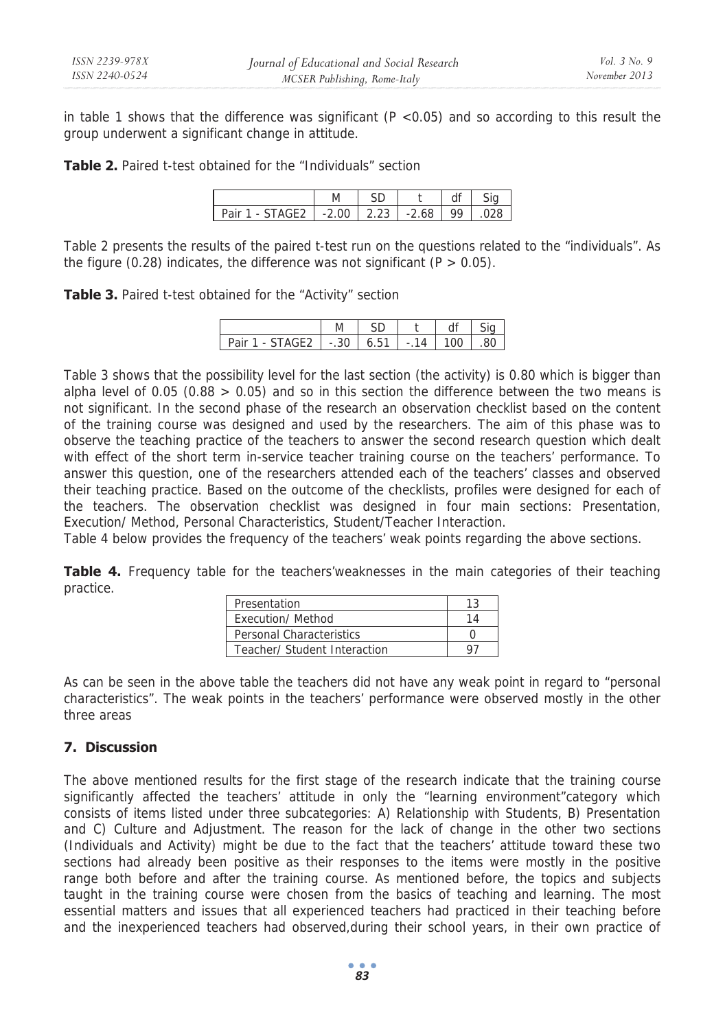in table 1 shows that the difference was significant  $(P < 0.05)$  and so according to this result the group underwent a significant change in attitude.

**Table 2.** Paired t-test obtained for the "Individuals" section

| - STAGE2 1 -2 00 1 2 23 1 -2 68<br>Pair 1 |  | QQ. |  |
|-------------------------------------------|--|-----|--|

Table 2 presents the results of the paired t-test run on the questions related to the "individuals". As the figure (0.28) indicates, the difference was not significant ( $P > 0.05$ ).

**Table 3.** Paired t-test obtained for the "Activity" section

|                             | M      |     |                          |     |    |
|-----------------------------|--------|-----|--------------------------|-----|----|
| Pair<br>TAGF2 I<br>L<br>- 1 | $-.30$ | 651 | $\overline{\phantom{a}}$ | 1ሰበ | ×ı |

Table 3 shows that the possibility level for the last section (the activity) is 0.80 which is bigger than alpha level of 0.05 (0.88  $> 0.05$ ) and so in this section the difference between the two means is not significant. In the second phase of the research an observation checklist based on the content of the training course was designed and used by the researchers. The aim of this phase was to observe the teaching practice of the teachers to answer the second research question which dealt with effect of the short term in-service teacher training course on the teachers' performance. To answer this question, one of the researchers attended each of the teachers' classes and observed their teaching practice. Based on the outcome of the checklists, profiles were designed for each of the teachers. The observation checklist was designed in four main sections: Presentation, Execution/ Method, Personal Characteristics, Student/Teacher Interaction.

Table 4 below provides the frequency of the teachers' weak points regarding the above sections.

**Table 4.** Frequency table for the teachers'weaknesses in the main categories of their teaching practice.

| Presentation                    |  |
|---------------------------------|--|
| <b>Execution/ Method</b>        |  |
| <b>Personal Characteristics</b> |  |
| Teacher/ Student Interaction    |  |

As can be seen in the above table the teachers did not have any weak point in regard to "personal characteristics". The weak points in the teachers' performance were observed mostly in the other three areas

### **7. Discussion**

The above mentioned results for the first stage of the research indicate that the training course significantly affected the teachers' attitude in only the "learning environment"category which consists of items listed under three subcategories: A) Relationship with Students, B) Presentation and C) Culture and Adjustment. The reason for the lack of change in the other two sections (Individuals and Activity) might be due to the fact that the teachers' attitude toward these two sections had already been positive as their responses to the items were mostly in the positive range both before and after the training course. As mentioned before, the topics and subjects taught in the training course were chosen from the basics of teaching and learning. The most essential matters and issues that all experienced teachers had practiced in their teaching before and the inexperienced teachers had observed,during their school years, in their own practice of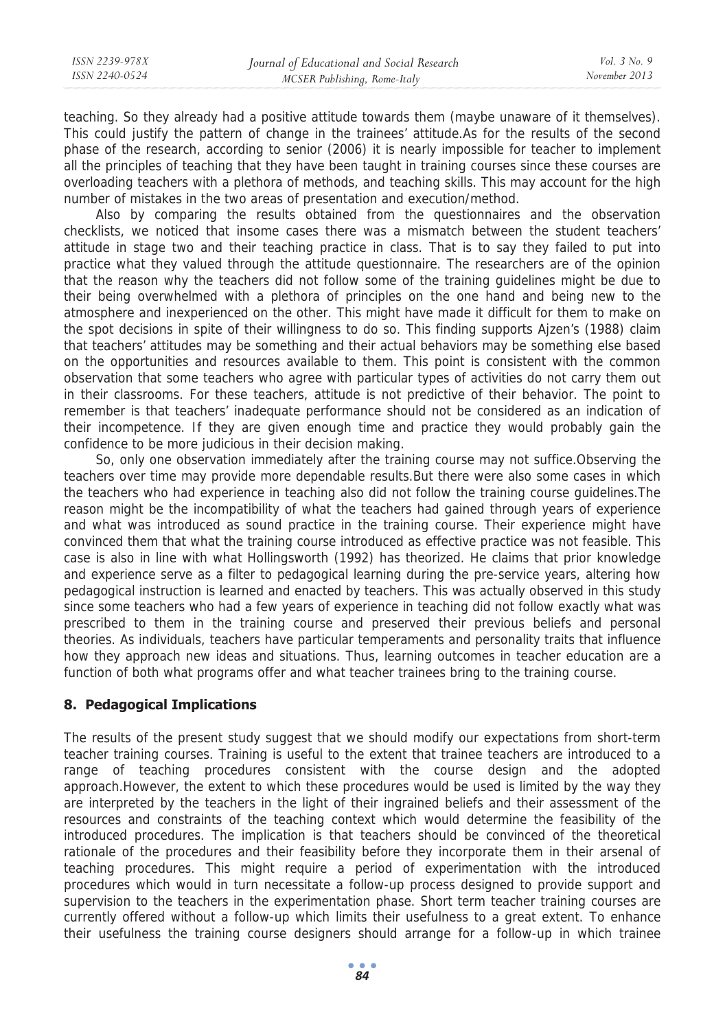teaching. So they already had a positive attitude towards them (maybe unaware of it themselves). This could justify the pattern of change in the trainees' attitude.As for the results of the second phase of the research, according to senior (2006) it is nearly impossible for teacher to implement all the principles of teaching that they have been taught in training courses since these courses are overloading teachers with a plethora of methods, and teaching skills. This may account for the high number of mistakes in the two areas of presentation and execution/method.

Also by comparing the results obtained from the questionnaires and the observation checklists, we noticed that insome cases there was a mismatch between the student teachers' attitude in stage two and their teaching practice in class. That is to say they failed to put into practice what they valued through the attitude questionnaire. The researchers are of the opinion that the reason why the teachers did not follow some of the training guidelines might be due to their being overwhelmed with a plethora of principles on the one hand and being new to the atmosphere and inexperienced on the other. This might have made it difficult for them to make on the spot decisions in spite of their willingness to do so. This finding supports Ajzen's (1988) claim that teachers' attitudes may be something and their actual behaviors may be something else based on the opportunities and resources available to them. This point is consistent with the common observation that some teachers who agree with particular types of activities do not carry them out in their classrooms. For these teachers, attitude is not predictive of their behavior. The point to remember is that teachers' inadequate performance should not be considered as an indication of their incompetence. If they are given enough time and practice they would probably gain the confidence to be more judicious in their decision making.

So, only one observation immediately after the training course may not suffice.Observing the teachers over time may provide more dependable results.But there were also some cases in which the teachers who had experience in teaching also did not follow the training course guidelines.The reason might be the incompatibility of what the teachers had gained through years of experience and what was introduced as sound practice in the training course. Their experience might have convinced them that what the training course introduced as effective practice was not feasible. This case is also in line with what Hollingsworth (1992) has theorized. He claims that prior knowledge and experience serve as a filter to pedagogical learning during the pre-service years, altering how pedagogical instruction is learned and enacted by teachers. This was actually observed in this study since some teachers who had a few years of experience in teaching did not follow exactly what was prescribed to them in the training course and preserved their previous beliefs and personal theories. As individuals, teachers have particular temperaments and personality traits that influence how they approach new ideas and situations. Thus, learning outcomes in teacher education are a function of both what programs offer and what teacher trainees bring to the training course.

## **8. Pedagogical Implications**

The results of the present study suggest that we should modify our expectations from short-term teacher training courses. Training is useful to the extent that trainee teachers are introduced to a range of teaching procedures consistent with the course design and the adopted approach.However, the extent to which these procedures would be used is limited by the way they are interpreted by the teachers in the light of their ingrained beliefs and their assessment of the resources and constraints of the teaching context which would determine the feasibility of the introduced procedures. The implication is that teachers should be convinced of the theoretical rationale of the procedures and their feasibility before they incorporate them in their arsenal of teaching procedures. This might require a period of experimentation with the introduced procedures which would in turn necessitate a follow-up process designed to provide support and supervision to the teachers in the experimentation phase. Short term teacher training courses are currently offered without a follow-up which limits their usefulness to a great extent. To enhance their usefulness the training course designers should arrange for a follow-up in which trainee